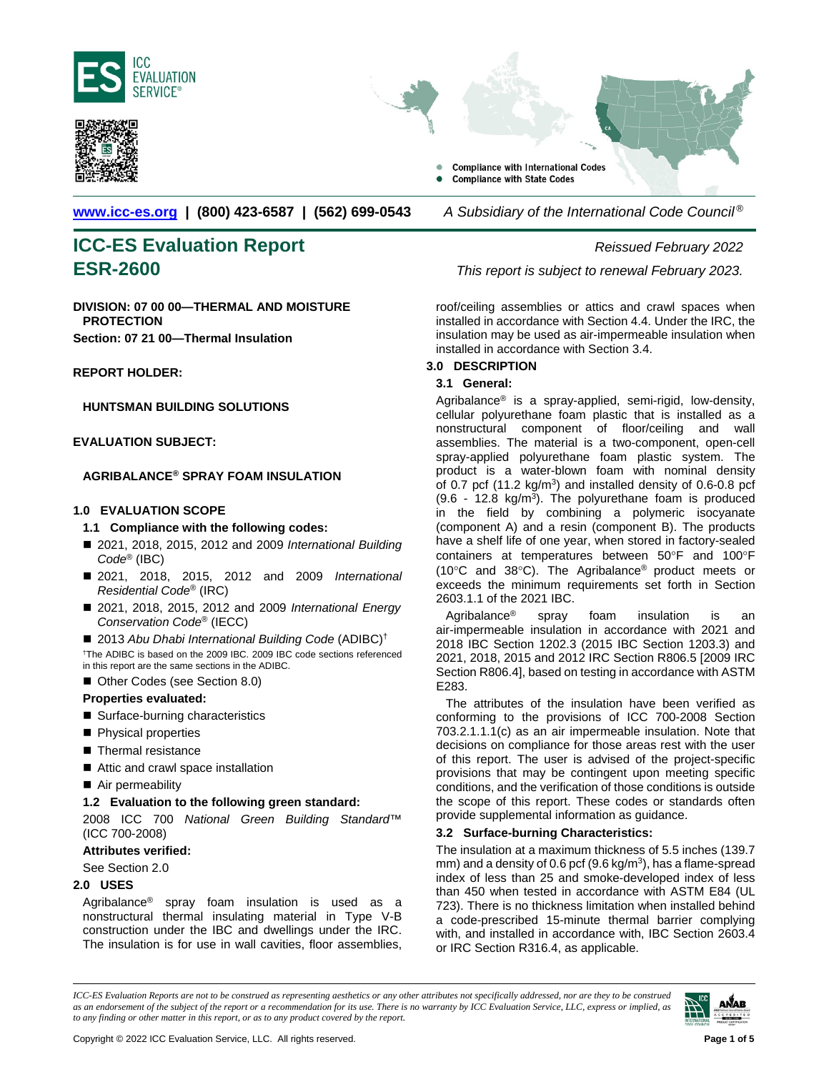<span id="page-0-0"></span>





**[www.icc-es.org](http://www.icc-es.org/) | (800) 423-6587 | (562) 699-0543** *A Subsidiary of the International Code Council ®*

# **ICC-ES Evaluation Report** *Reissued February 2022*  **ESR-2600** *This report is subject to renewal February 2023.*

**DIVISION: 07 00 00—THERMAL AND MOISTURE PROTECTION Section: 07 21 00—Thermal Insulation**

**REPORT HOLDER:**

**HUNTSMAN BUILDING SOLUTIONS**

**EVALUATION SUBJECT:**

# **AGRIBALANCE® SPRAY FOAM INSULATION**

# **1.0 EVALUATION SCOPE**

- **1.1 Compliance with the following codes:**
- 2021, 2018, 2015, 2012 and 2009 *International Building Code*® (IBC)
- 2021, 2018, 2015, 2012 and 2009 *International Residential Code*® (IRC)
- 2021, 2018, 2015, 2012 and 2009 *International Energy Conservation Code*® (IECC)
- 2013 Abu Dhabi International Building Code (ADIBC)<sup>†</sup>

†The ADIBC is based on the 2009 IBC. 2009 IBC code sections referenced in this report are the same sections in the ADIBC.

■ Other Codes (see Section 8.0)

# **Properties evaluated:**

- Surface-burning characteristics
- **Physical properties**
- Thermal resistance
- Attic and crawl space installation
- Air permeability

# **1.2 Evaluation to the following green standard:**

2008 ICC 700 *National Green Building Standard*™ (ICC 700-2008)

# **Attributes verified:**

See Section 2.0

# **2.0 USES**

Agribalance® spray foam insulation is used as a nonstructural thermal insulating material in Type V-B construction under the IBC and dwellings under the IRC. The insulation is for use in wall cavities, floor assemblies,

roof/ceiling assemblies or attics and crawl spaces when installed in accordance with Section 4.4. Under the IRC, the insulation may be used as air-impermeable insulation when installed in accordance with Section 3.4.

# **3.0 DESCRIPTION**

# **3.1 General:**

Agribalance® is a spray-applied, semi-rigid, low-density, cellular polyurethane foam plastic that is installed as a nonstructural component of floor/ceiling and wall assemblies. The material is a two-component, open-cell spray-applied polyurethane foam plastic system. The product is a water-blown foam with nominal density of 0.7 pcf  $(11.2 \text{ kg/m}^3)$  and installed density of 0.6-0.8 pcf  $(9.6 - 12.8 \text{ kg/m}^3)$ . The polyurethane foam is produced in the field by combining a polymeric isocyanate (component A) and a resin (component B). The products have a shelf life of one year, when stored in factory-sealed containers at temperatures between 50°F and 100°F (10°C and 38°C). The Agribalance® product meets or exceeds the minimum requirements set forth in Section 2603.1.1 of the 2021 IBC.

Agribalance® spray foam insulation is an air-impermeable insulation in accordance with 2021 and 2018 IBC Section 1202.3 (2015 IBC Section 1203.3) and 2021, 2018, 2015 and 2012 IRC Section R806.5 [2009 IRC Section R806.4], based on testing in accordance with ASTM E283.

The attributes of the insulation have been verified as conforming to the provisions of ICC 700-2008 Section 703.2.1.1.1(c) as an air impermeable insulation. Note that decisions on compliance for those areas rest with the user of this report. The user is advised of the project-specific provisions that may be contingent upon meeting specific conditions, and the verification of those conditions is outside the scope of this report. These codes or standards often provide supplemental information as guidance.

# **3.2 Surface-burning Characteristics:**

The insulation at a maximum thickness of 5.5 inches (139.7 mm) and a density of 0.6 pcf (9.6 kg/m<sup>3</sup>), has a flame-spread index of less than 25 and smoke-developed index of less than 450 when tested in accordance with ASTM E84 (UL 723). There is no thickness limitation when installed behind a code-prescribed 15-minute thermal barrier complying with, and installed in accordance with, IBC Section 2603.4 or IRC Section R316.4, as applicable.

*ICC-ES Evaluation Reports are not to be construed as representing aesthetics or any other attributes not specifically addressed, nor are they to be construed as an endorsement of the subject of the report or a recommendation for its use. There is no warranty by ICC Evaluation Service, LLC, express or implied, as to any finding or other matter in this report, or as to any product covered by the report.*

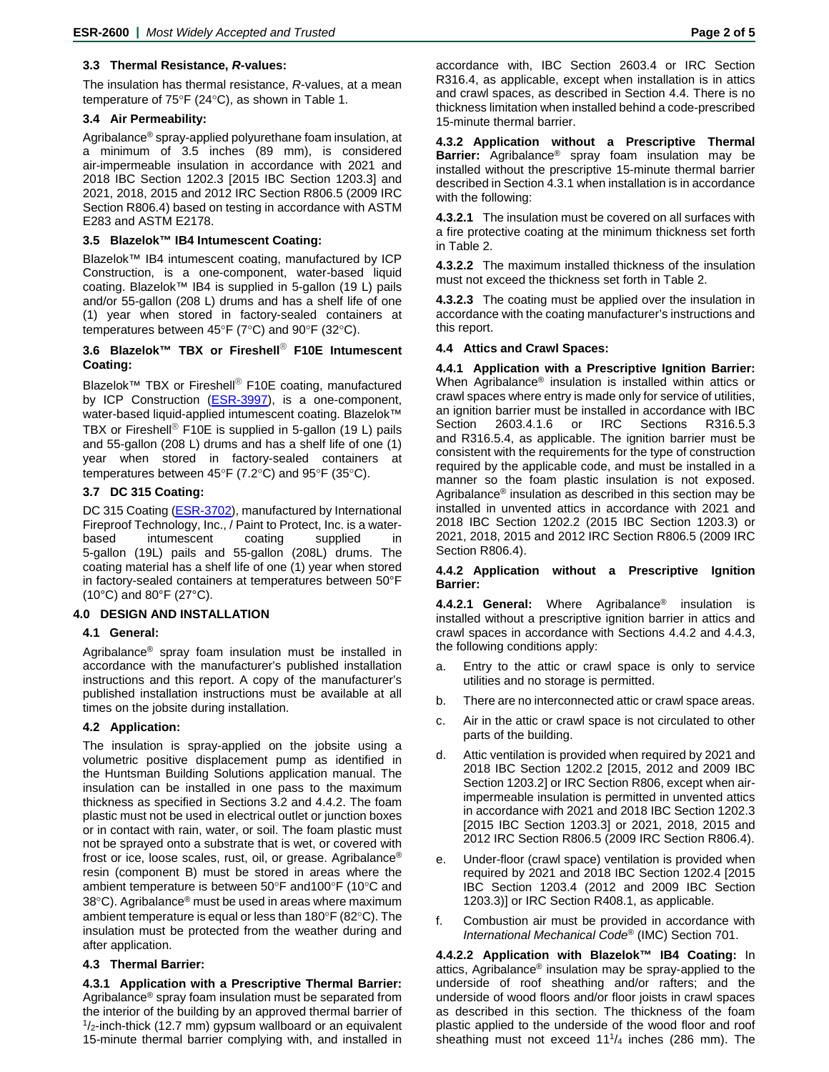# **3.3 Thermal Resistance,** *R***-values:**

The insulation has thermal resistance, *R*-values, at a mean temperature of 75°F (24°C), as shown in Table 1.

# **3.4 Air Permeability:**

Agribalance® spray-applied polyurethane foam insulation, at a minimum of 3.5 inches (89 mm), is considered air-impermeable insulation in accordance with 2021 and 2018 IBC Section 1202.3 [2015 IBC Section 1203.3] and 2021, 2018, 2015 and 2012 IRC Section R806.5 (2009 IRC Section R806.4) based on testing in accordance with ASTM E283 and ASTM E2178.

# **3.5 Blazelok™ IB4 Intumescent Coating:**

Blazelok™ IB4 intumescent coating, manufactured by ICP Construction, is a one-component, water-based liquid coating. Blazelok™ IB4 is supplied in 5-gallon (19 L) pails and/or 55-gallon (208 L) drums and has a shelf life of one (1) year when stored in factory-sealed containers at temperatures between 45°F (7°C) and 90°F (32°C).

# **3.6 Blazelok™ TBX or Fireshell**® **F10E Intumescent Coating:**

Blazelok™ TBX or Fireshell<sup>®</sup> F10E coating, manufactured by ICP Construction [\(ESR-3997\)](mailto:https://www.icc-es.org/wp-content/uploads/report-directory/ESR-3997.pdf), is a one-component, water-based liquid-applied intumescent coating. Blazelok™ TBX or Fireshell® F10E is supplied in 5-gallon (19 L) pails and 55-gallon (208 L) drums and has a shelf life of one (1) year when stored in factory-sealed containers at temperatures between 45°F (7.2°C) and 95°F (35°C).

# **3.7 DC 315 Coating:**

DC 315 Coating [\(ESR-3702\)](http://www.icc-es.org/Reports/pdf_files/ESR-3702.pdf), manufactured by International Fireproof Technology, Inc., / Paint to Protect, Inc. is a waterbased intumescent coating supplied 5-gallon (19L) pails and 55-gallon (208L) drums. The coating material has a shelf life of one (1) year when stored in factory-sealed containers at temperatures between 50°F (10°C) and 80°F (27°C).

# **4.0 DESIGN AND INSTALLATION**

# **4.1 General:**

Agribalance® spray foam insulation must be installed in accordance with the manufacturer's published installation instructions and this report. A copy of the manufacturer's published installation instructions must be available at all times on the jobsite during installation.

# **4.2 Application:**

The insulation is spray-applied on the jobsite using a volumetric positive displacement pump as identified in the Huntsman Building Solutions application manual. The insulation can be installed in one pass to the maximum thickness as specified in Sections 3.2 and 4.4.2. The foam plastic must not be used in electrical outlet or junction boxes or in contact with rain, water, or soil. The foam plastic must not be sprayed onto a substrate that is wet, or covered with frost or ice, loose scales, rust, oil, or grease. Agribalance® resin (component B) must be stored in areas where the ambient temperature is between 50°F and100°F (10°C and 38°C). Agribalance® must be used in areas where maximum ambient temperature is equal or less than 180°F (82°C). The insulation must be protected from the weather during and after application.

# **4.3 Thermal Barrier:**

**4.3.1 Application with a Prescriptive Thermal Barrier:**  Agribalance® spray foam insulation must be separated from the interior of the building by an approved thermal barrier of  $1/2$ -inch-thick (12.7 mm) gypsum wallboard or an equivalent 15-minute thermal barrier complying with, and installed in

accordance with, IBC Section 2603.4 or IRC Section R316.4, as applicable, except when installation is in attics and crawl spaces, as described in Section 4.4. There is no thickness limitation when installed behind a code-prescribed 15-minute thermal barrier.

**4.3.2 Application without a Prescriptive Thermal Barrier:** Agribalance® spray foam insulation may be installed without the prescriptive 15-minute thermal barrier described in Section 4.3.1 when installation is in accordance with the following:

**4.3.2.1** The insulation must be covered on all surfaces with a fire protective coating at the minimum thickness set forth in Table 2.

**4.3.2.2** The maximum installed thickness of the insulation must not exceed the thickness set forth in Table 2.

**4.3.2.3** The coating must be applied over the insulation in accordance with the coating manufacturer's instructions and this report.

# **4.4 Attics and Crawl Spaces:**

**4.4.1 Application with a Prescriptive Ignition Barrier:** When Agribalance® insulation is installed within attics or crawl spaces where entry is made only for service of utilities, an ignition barrier must be installed in accordance with IBC Section 2603.4.1.6 or IRC Sections R316.5.3 and R316.5.4, as applicable. The ignition barrier must be consistent with the requirements for the type of construction required by the applicable code, and must be installed in a manner so the foam plastic insulation is not exposed. Agribalance® insulation as described in this section may be installed in unvented attics in accordance with 2021 and 2018 IBC Section 1202.2 (2015 IBC Section 1203.3) or 2021, 2018, 2015 and 2012 IRC Section R806.5 (2009 IRC Section R806.4).

### **4.4.2 Application without a Prescriptive Ignition Barrier:**

**4.4.2.1 General:** Where Agribalance® insulation is installed without a prescriptive ignition barrier in attics and crawl spaces in accordance with Sections 4.4.2 and 4.4.3, the following conditions apply:

- a. Entry to the attic or crawl space is only to service utilities and no storage is permitted.
- b. There are no interconnected attic or crawl space areas.
- c. Air in the attic or crawl space is not circulated to other parts of the building.
- d. Attic ventilation is provided when required by 2021 and 2018 IBC Section 1202.2 [2015, 2012 and 2009 IBC Section 1203.2] or IRC Section R806, except when airimpermeable insulation is permitted in unvented attics in accordance wi*t*h 2021 and 2018 IBC Section 1202.3 [2015 IBC Section 1203.3] or 2021, 2018, 2015 and 2012 IRC Section R806.5 (2009 IRC Section R806.4).
- e. Under-floor (crawl space) ventilation is provided when required by 2021 and 2018 IBC Section 1202.4 [2015 IBC Section 1203.4 (2012 and 2009 IBC Section 1203.3)] or IRC Section R408.1, as applicable.
- f. Combustion air must be provided in accordance with *International Mechanical Code*® (IMC) Section 701.

**4.4.2.2 Application with Blazelok™ IB4 Coating:** In attics, Agribalance® insulation may be spray-applied to the underside of roof sheathing and/or rafters; and the underside of wood floors and/or floor joists in crawl spaces as described in this section. The thickness of the foam plastic applied to the underside of the wood floor and roof sheathing must not exceed  $11^{1/4}$  inches (286 mm). The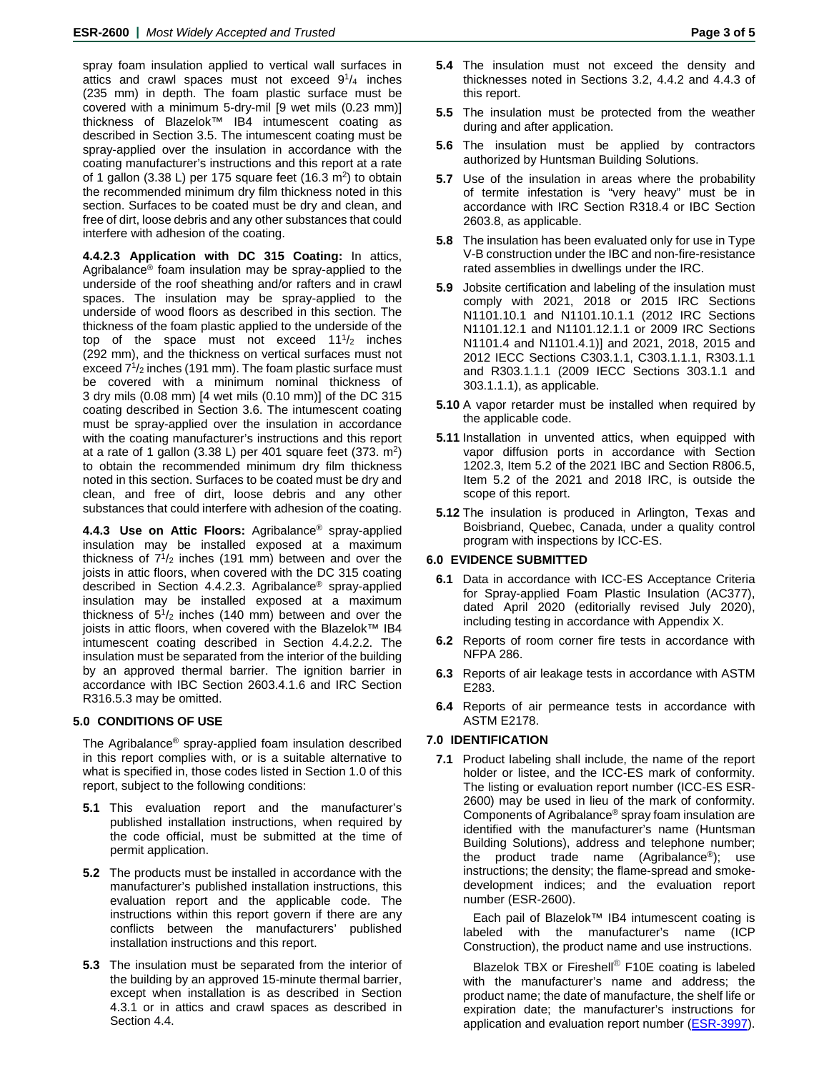spray foam insulation applied to vertical wall surfaces in attics and crawl spaces must not exceed 91/4 inches (235 mm) in depth. The foam plastic surface must be covered with a minimum 5-dry-mil [9 wet mils (0.23 mm)] thickness of Blazelok™ IB4 intumescent coating as described in Section 3.5. The intumescent coating must be spray-applied over the insulation in accordance with the coating manufacturer's instructions and this report at a rate of 1 gallon (3.38 L) per 175 square feet (16.3  $m<sup>2</sup>$ ) to obtain the recommended minimum dry film thickness noted in this section. Surfaces to be coated must be dry and clean, and free of dirt, loose debris and any other substances that could interfere with adhesion of the coating.

**4.4.2.3 Application with DC 315 Coating:** In attics, Agribalance® foam insulation may be spray-applied to the underside of the roof sheathing and/or rafters and in crawl spaces. The insulation may be spray-applied to the underside of wood floors as described in this section. The thickness of the foam plastic applied to the underside of the top of the space must not exceed  $11^{1/2}$  inches (292 mm), and the thickness on vertical surfaces must not exceed  $7<sup>1</sup>/2$  inches (191 mm). The foam plastic surface must be covered with a minimum nominal thickness of 3 dry mils (0.08 mm) [4 wet mils (0.10 mm)] of the DC 315 coating described in Section 3.6. The intumescent coating must be spray-applied over the insulation in accordance with the coating manufacturer's instructions and this report at a rate of 1 gallon (3.38 L) per 401 square feet (373.  $m^2$ ) to obtain the recommended minimum dry film thickness noted in this section. Surfaces to be coated must be dry and clean, and free of dirt, loose debris and any other substances that could interfere with adhesion of the coating.

**4.4.3 Use on Attic Floors:** Agribalance® spray-applied insulation may be installed exposed at a maximum thickness of  $7^{1}/_{2}$  inches (191 mm) between and over the joists in attic floors, when covered with the DC 315 coating described in Section 4.4.2.3. Agribalance® spray-applied insulation may be installed exposed at a maximum thickness of  $5<sup>1</sup>/2$  inches (140 mm) between and over the joists in attic floors, when covered with the Blazelok™ IB4 intumescent coating described in Section 4.4.2.2. The insulation must be separated from the interior of the building by an approved thermal barrier. The ignition barrier in accordance with IBC Section 2603.4.1.6 and IRC Section R316.5.3 may be omitted.

#### **5.0 CONDITIONS OF USE**

The Agribalance® spray-applied foam insulation described in this report complies with, or is a suitable alternative to what is specified in, those codes listed in Section 1.0 of this report, subject to the following conditions:

- **5.1** This evaluation report and the manufacturer's published installation instructions, when required by the code official, must be submitted at the time of permit application.
- **5.2** The products must be installed in accordance with the manufacturer's published installation instructions, this evaluation report and the applicable code. The instructions within this report govern if there are any conflicts between the manufacturers' published installation instructions and this report.
- **5.3** The insulation must be separated from the interior of the building by an approved 15-minute thermal barrier, except when installation is as described in Section 4.3.1 or in attics and crawl spaces as described in Section 4.4.
- **5.4** The insulation must not exceed the density and thicknesses noted in Sections 3.2, 4.4.2 and 4.4.3 of this report.
- **5.5** The insulation must be protected from the weather during and after application.
- **5.6** The insulation must be applied by contractors authorized by Huntsman Building Solutions.
- **5.7** Use of the insulation in areas where the probability of termite infestation is "very heavy" must be in accordance with IRC Section R318.4 or IBC Section 2603.8, as applicable.
- **5.8** The insulation has been evaluated only for use in Type V-B construction under the IBC and non-fire-resistance rated assemblies in dwellings under the IRC.
- **5.9** Jobsite certification and labeling of the insulation must comply with 2021, 2018 or 2015 IRC Sections N1101.10.1 and N1101.10.1.1 (2012 IRC Sections N1101.12.1 and N1101.12.1.1 or 2009 IRC Sections N1101.4 and N1101.4.1)] and 2021, 2018, 2015 and 2012 IECC Sections C303.1.1, C303.1.1.1, R303.1.1 and R303.1.1.1 (2009 IECC Sections 303.1.1 and 303.1.1.1), as applicable.
- **5.10** A vapor retarder must be installed when required by the applicable code.
- **5.11** Installation in unvented attics, when equipped with vapor diffusion ports in accordance with Section 1202.3, Item 5.2 of the 2021 IBC and Section R806.5, Item 5.2 of the 2021 and 2018 IRC, is outside the scope of this report.
- **5.12** The insulation is produced in Arlington, Texas and Boisbriand, Quebec, Canada, under a quality control program with inspections by ICC-ES.

#### **6.0 EVIDENCE SUBMITTED**

- **6.1** Data in accordance with ICC-ES Acceptance Criteria for Spray-applied Foam Plastic Insulation (AC377), dated April 2020 (editorially revised July 2020), including testing in accordance with Appendix X.
- **6.2** Reports of room corner fire tests in accordance with NFPA 286.
- **6.3** Reports of air leakage tests in accordance with ASTM E283.
- **6.4** Reports of air permeance tests in accordance with ASTM E2178.

#### **7.0 IDENTIFICATION**

**7.1** Product labeling shall include, the name of the report holder or listee, and the ICC-ES mark of conformity. The listing or evaluation report number (ICC-ES ESR-2600) may be used in lieu of the mark of conformity. Components of Agribalance® spray foam insulation are identified with the manufacturer's name (Huntsman Building Solutions), address and telephone number; the product trade name (Agribalance®); use instructions; the density; the flame-spread and smokedevelopment indices; and the evaluation report number (ESR-2600).

Each pail of Blazelok™ IB4 intumescent coating is labeled with the manufacturer's name (ICP Construction), the product name and use instructions.

Blazelok TBX or Fireshell<sup>®</sup> F10E coating is labeled with the manufacturer's name and address; the product name; the date of manufacture, the shelf life or expiration date; the manufacturer's instructions for application and evaluation report number [\(ESR-3997\)](http://www.icc-es.org/Reports/pdf_files/load_file.cfm?file_type=pdf&file_name=ESR-3997.pdf).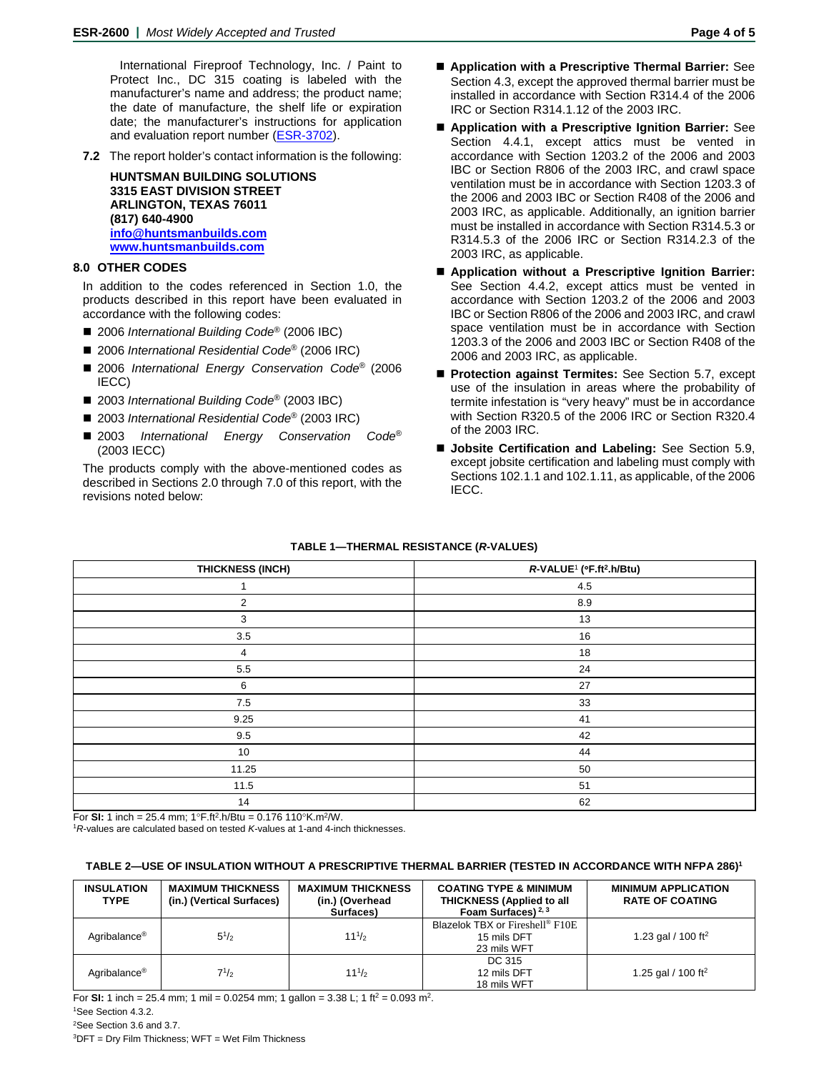International Fireproof Technology, Inc. / Paint to Protect Inc., DC 315 coating is labeled with the manufacturer's name and address; the product name; the date of manufacture, the shelf life or expiration date; the manufacturer's instructions for application and evaluation report number [\(ESR-3702\)](http://www.icc-es.org/Reports/pdf_files/load_file.cfm?file_type=pdf&file_name=ESR-3702.pdf).

**7.2** The report holder's contact information is the following:

**HUNTSMAN BUILDING SOLUTIONS 3315 EAST DIVISION STREET ARLINGTON, TEXAS 76011 (817) 640-4900 [info@huntsmanbuilds.com](mailto:info@huntsmanbuilds.com)  [www.huntsmanbuilds.com](http://www.huntsmanbuilds.com/)**

# **8.0 OTHER CODES**

In addition to the codes referenced in Section 1.0, the products described in this report have been evaluated in accordance with the following codes:

- 2006 *International Building Code<sup>®</sup>* (2006 IBC)
- 2006 *International Residential Code<sup>®</sup>* (2006 IRC)
- 2006 *International Energy Conservation Code<sup>®</sup> (2006* IECC)
- 2003 *International Building Code<sup>®</sup>* (2003 IBC)
- 2003 *International Residential Code<sup>®</sup> (2003 IRC)*
- 2003 *International Energy Conservation Code*<sup>®</sup> (2003 IECC)

The products comply with the above-mentioned codes as described in Sections 2.0 through 7.0 of this report, with the revisions noted below:

- **Application with a Prescriptive Thermal Barrier:** See Section 4.3, except the approved thermal barrier must be installed in accordance with Section R314.4 of the 2006 IRC or Section R314.1.12 of the 2003 IRC.
- **Application with a Prescriptive Ignition Barrier:** See Section 4.4.1, except attics must be vented in accordance with Section 1203.2 of the 2006 and 2003 IBC or Section R806 of the 2003 IRC, and crawl space ventilation must be in accordance with Section 1203.3 of the 2006 and 2003 IBC or Section R408 of the 2006 and 2003 IRC, as applicable. Additionally, an ignition barrier must be installed in accordance with Section R314.5.3 or R314.5.3 of the 2006 IRC or Section R314.2.3 of the 2003 IRC, as applicable.
- **Application without a Prescriptive Ignition Barrier:** See Section 4.4.2, except attics must be vented in accordance with Section 1203.2 of the 2006 and 2003 IBC or Section R806 of the 2006 and 2003 IRC, and crawl space ventilation must be in accordance with Section 1203.3 of the 2006 and 2003 IBC or Section R408 of the 2006 and 2003 IRC, as applicable.
- **Protection against Termites:** See Section 5.7, except use of the insulation in areas where the probability of termite infestation is "very heavy" must be in accordance with Section R320.5 of the 2006 IRC or Section R320.4 of the 2003 IRC.
- **Jobsite Certification and Labeling:** See Section 5.9, except jobsite certification and labeling must comply with Sections 102.1.1 and 102.1.11, as applicable, of the 2006 IECC.

# **TABLE 1—THERMAL RESISTANCE (***R-***VALUES)**

| THICKNESS (INCH)                                                                                                                                                                                                                                                                                                                                                                           | R-VALUE <sup>1</sup> (°F.ft <sup>2</sup> .h/Btu) |  |
|--------------------------------------------------------------------------------------------------------------------------------------------------------------------------------------------------------------------------------------------------------------------------------------------------------------------------------------------------------------------------------------------|--------------------------------------------------|--|
| 1                                                                                                                                                                                                                                                                                                                                                                                          | 4.5                                              |  |
| $\overline{2}$                                                                                                                                                                                                                                                                                                                                                                             | 8.9                                              |  |
| 3                                                                                                                                                                                                                                                                                                                                                                                          | 13                                               |  |
| 3.5                                                                                                                                                                                                                                                                                                                                                                                        | 16                                               |  |
| 4                                                                                                                                                                                                                                                                                                                                                                                          | 18                                               |  |
| 5.5                                                                                                                                                                                                                                                                                                                                                                                        | 24                                               |  |
| 6                                                                                                                                                                                                                                                                                                                                                                                          | 27                                               |  |
| 7.5                                                                                                                                                                                                                                                                                                                                                                                        | 33                                               |  |
| 9.25                                                                                                                                                                                                                                                                                                                                                                                       | 41                                               |  |
| 9.5                                                                                                                                                                                                                                                                                                                                                                                        | 42                                               |  |
| 10                                                                                                                                                                                                                                                                                                                                                                                         | 44                                               |  |
| 11.25                                                                                                                                                                                                                                                                                                                                                                                      | 50                                               |  |
| 11.5                                                                                                                                                                                                                                                                                                                                                                                       | 51                                               |  |
| 14<br>$\overline{a}$ $\overline{a}$ $\overline{a}$ $\overline{a}$ $\overline{a}$ $\overline{a}$ $\overline{a}$ $\overline{a}$ $\overline{a}$ $\overline{a}$ $\overline{a}$ $\overline{a}$ $\overline{a}$ $\overline{a}$ $\overline{a}$ $\overline{a}$ $\overline{a}$ $\overline{a}$ $\overline{a}$ $\overline{a}$ $\overline{a}$ $\overline{a}$ $\overline{a}$ $\overline{a}$ $\overline{$ | 62                                               |  |

For **SI:** 1 inch = 25.4 mm:  $1^{\circ}$  F.ft<sup>2</sup>.h/Btu = 0.176 110 $^{\circ}$ K.m<sup>2</sup>/W.

<sup>1</sup>*R*-values are calculated based on tested *K*-values at 1-and 4-inch thicknesses.

#### **TABLE 2—USE OF INSULATION WITHOUT A PRESCRIPTIVE THERMAL BARRIER (TESTED IN ACCORDANCE WITH NFPA 286)1**

| <b>INSULATION</b><br><b>TYPE</b> | <b>MAXIMUM THICKNESS</b><br>(in.) (Vertical Surfaces) | <b>MAXIMUM THICKNESS</b><br>(in.) (Overhead<br>Surfaces) | <b>COATING TYPE &amp; MINIMUM</b><br><b>THICKNESS (Applied to all</b><br>Foam Surfaces) $2,3$ | <b>MINIMUM APPLICATION</b><br><b>RATE OF COATING</b> |
|----------------------------------|-------------------------------------------------------|----------------------------------------------------------|-----------------------------------------------------------------------------------------------|------------------------------------------------------|
| Agribalance <sup>®</sup>         | $5^{1/2}$                                             | $11^{1/2}$                                               | Blazelok TBX or Fireshell <sup>®</sup> F10E<br>15 mils DFT<br>23 mils WFT                     | 1.23 gal / 100 ft <sup>2</sup>                       |
| Agribalance <sup>®</sup>         | $7^{1/2}$                                             | $11^{1/2}$                                               | DC 315<br>12 mils DFT<br>18 mils WFT                                                          | 1.25 gal / 100 ft <sup>2</sup>                       |

For **SI:** 1 inch = 25.4 mm; 1 mil = 0.0254 mm; 1 gallon =  $3.38$  L; 1 ft<sup>2</sup> = 0.093 m<sup>2</sup>. 1See Section 4.3.2.

2See Section 3.6 and 3.7.

 ${}^{3}$ DFT = Dry Film Thickness; WFT = Wet Film Thickness